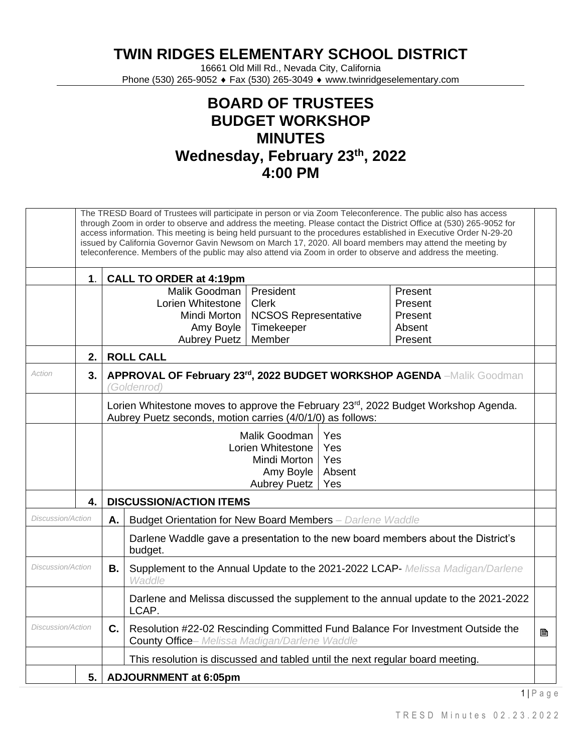**TWIN RIDGES ELEMENTARY SCHOOL DISTRICT**

16661 Old Mill Rd., Nevada City, California Phone (530) 265-9052 ♦ Fax (530) 265-3049 ♦ www.twinridgeselementary.com

## **BOARD OF TRUSTEES BUDGET WORKSHOP MINUTES Wednesday, February 23th, 2022 4:00 PM**

| The TRESD Board of Trustees will participate in person or via Zoom Teleconference. The public also has access<br>through Zoom in order to observe and address the meeting. Please contact the District Office at (530) 265-9052 for<br>access information. This meeting is being held pursuant to the procedures established in Executive Order N-29-20<br>issued by California Governor Gavin Newsom on March 17, 2020. All board members may attend the meeting by<br>teleconference. Members of the public may also attend via Zoom in order to observe and address the meeting. |               |                                |                                                                                                                                                                                                                                  |  |  |
|-------------------------------------------------------------------------------------------------------------------------------------------------------------------------------------------------------------------------------------------------------------------------------------------------------------------------------------------------------------------------------------------------------------------------------------------------------------------------------------------------------------------------------------------------------------------------------------|---------------|--------------------------------|----------------------------------------------------------------------------------------------------------------------------------------------------------------------------------------------------------------------------------|--|--|
|                                                                                                                                                                                                                                                                                                                                                                                                                                                                                                                                                                                     | $\mathbf 1$ . | <b>CALL TO ORDER at 4:19pm</b> |                                                                                                                                                                                                                                  |  |  |
|                                                                                                                                                                                                                                                                                                                                                                                                                                                                                                                                                                                     |               |                                | Malik Goodman<br>President<br>Present<br>Lorien Whitestone<br><b>Clerk</b><br>Present<br>Mindi Morton<br><b>NCSOS Representative</b><br>Present<br>Timekeeper<br>Amy Boyle<br>Absent<br>Member<br><b>Aubrey Puetz</b><br>Present |  |  |
|                                                                                                                                                                                                                                                                                                                                                                                                                                                                                                                                                                                     | 2.            |                                | <b>ROLL CALL</b>                                                                                                                                                                                                                 |  |  |
| Action                                                                                                                                                                                                                                                                                                                                                                                                                                                                                                                                                                              | 3.            |                                | APPROVAL OF February 23rd, 2022 BUDGET WORKSHOP AGENDA -Malik Goodman<br>(Goldenrod)                                                                                                                                             |  |  |
|                                                                                                                                                                                                                                                                                                                                                                                                                                                                                                                                                                                     |               |                                | Lorien Whitestone moves to approve the February 23rd, 2022 Budget Workshop Agenda.<br>Aubrey Puetz seconds, motion carries (4/0/1/0) as follows:                                                                                 |  |  |
|                                                                                                                                                                                                                                                                                                                                                                                                                                                                                                                                                                                     |               |                                | Malik Goodman<br>Yes<br>Lorien Whitestone<br>Yes<br>Yes<br>Mindi Morton<br>Absent<br>Amy Boyle<br><b>Aubrey Puetz</b><br>Yes                                                                                                     |  |  |
|                                                                                                                                                                                                                                                                                                                                                                                                                                                                                                                                                                                     | 4.            |                                | <b>DISCUSSION/ACTION ITEMS</b>                                                                                                                                                                                                   |  |  |
| Discussion/Action                                                                                                                                                                                                                                                                                                                                                                                                                                                                                                                                                                   |               | Α.                             | Budget Orientation for New Board Members - Darlene Waddle                                                                                                                                                                        |  |  |
|                                                                                                                                                                                                                                                                                                                                                                                                                                                                                                                                                                                     |               |                                | Darlene Waddle gave a presentation to the new board members about the District's<br>budget.                                                                                                                                      |  |  |
| Discussion/Action                                                                                                                                                                                                                                                                                                                                                                                                                                                                                                                                                                   |               | В.                             | Supplement to the Annual Update to the 2021-2022 LCAP- Melissa Madigan/Darlene<br>Waddle                                                                                                                                         |  |  |
|                                                                                                                                                                                                                                                                                                                                                                                                                                                                                                                                                                                     |               |                                | Darlene and Melissa discussed the supplement to the annual update to the 2021-2022<br>LCAP.                                                                                                                                      |  |  |
| <b>Discussion/Action</b>                                                                                                                                                                                                                                                                                                                                                                                                                                                                                                                                                            |               | C.                             | Resolution #22-02 Rescinding Committed Fund Balance For Investment Outside the<br>B<br><b>County Office-</b> Melissa Madigan/Darlene Waddle                                                                                      |  |  |
|                                                                                                                                                                                                                                                                                                                                                                                                                                                                                                                                                                                     |               |                                | This resolution is discussed and tabled until the next regular board meeting.                                                                                                                                                    |  |  |
|                                                                                                                                                                                                                                                                                                                                                                                                                                                                                                                                                                                     | 5.            |                                | <b>ADJOURNMENT at 6:05pm</b>                                                                                                                                                                                                     |  |  |

 $1 \mid P$  a g e